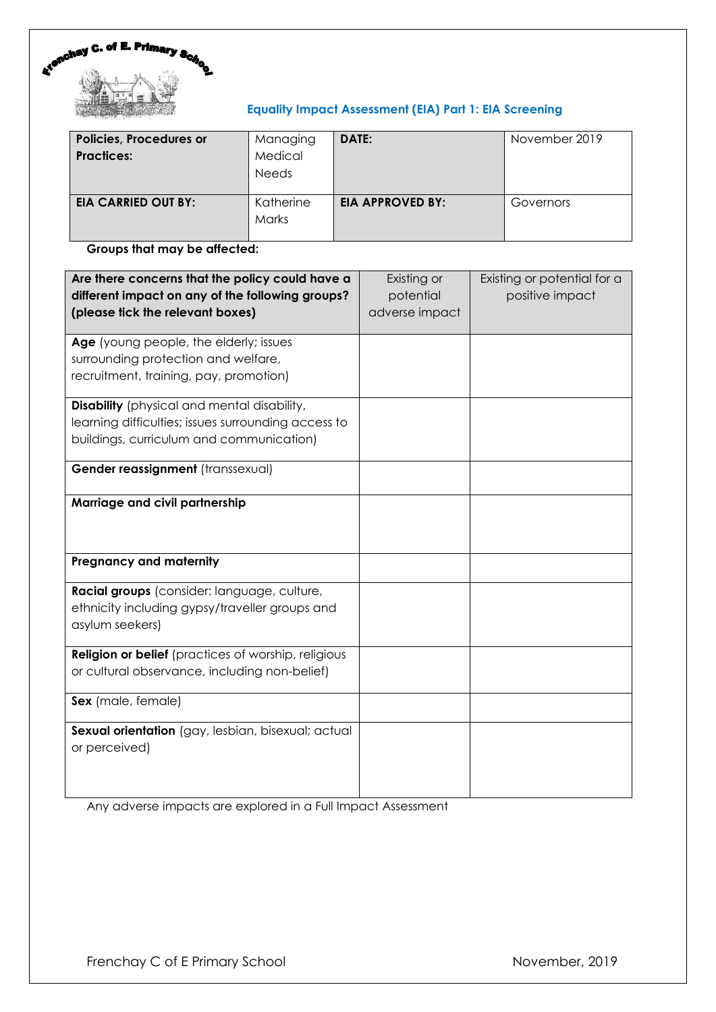

# **Equality Impact Assessment (EIA) Part 1: EIA Screening**

| <b>Policies, Procedures or</b><br><b>Practices:</b> | Managing<br>Medical<br><b>Needs</b> | DATE:                   | November 2019 |
|-----------------------------------------------------|-------------------------------------|-------------------------|---------------|
| <b>EIA CARRIED OUT BY:</b>                          | Katherine<br><b>Marks</b>           | <b>EIA APPROVED BY:</b> | Governors     |

**Groups that may be affected:**

| Are there concerns that the policy could have a<br>different impact on any of the following groups?<br>(please tick the relevant boxes)               | Existing or<br>potential<br>adverse impact | Existing or potential for a<br>positive impact |
|-------------------------------------------------------------------------------------------------------------------------------------------------------|--------------------------------------------|------------------------------------------------|
| Age (young people, the elderly; issues<br>surrounding protection and welfare,<br>recruitment, training, pay, promotion)                               |                                            |                                                |
| <b>Disability</b> (physical and mental disability,<br>learning difficulties; issues surrounding access to<br>buildings, curriculum and communication) |                                            |                                                |
| Gender reassignment (transsexual)                                                                                                                     |                                            |                                                |
| Marriage and civil partnership                                                                                                                        |                                            |                                                |
| <b>Pregnancy and maternity</b>                                                                                                                        |                                            |                                                |
| Racial groups (consider: language, culture,<br>ethnicity including gypsy/traveller groups and<br>asylum seekers)                                      |                                            |                                                |
| <b>Religion or belief</b> (practices of worship, religious<br>or cultural observance, including non-belief)                                           |                                            |                                                |
| Sex (male, female)                                                                                                                                    |                                            |                                                |
| Sexual orientation (gay, lesbian, bisexual; actual<br>or perceived)                                                                                   |                                            |                                                |

Any adverse impacts are explored in a Full Impact Assessment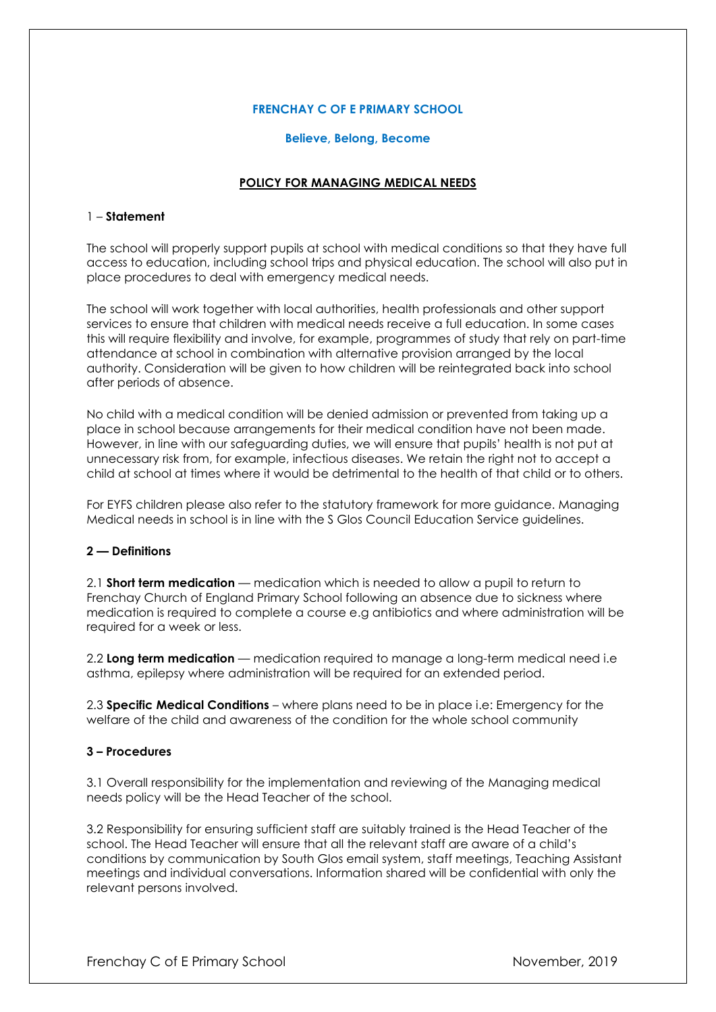## **FRENCHAY C OF E PRIMARY SCHOOL**

#### **Believe, Belong, Become**

# **POLICY FOR MANAGING MEDICAL NEEDS**

### 1 – **Statement**

The school will properly support pupils at school with medical conditions so that they have full access to education, including school trips and physical education. The school will also put in place procedures to deal with emergency medical needs.

The school will work together with local authorities, health professionals and other support services to ensure that children with medical needs receive a full education. In some cases this will require flexibility and involve, for example, programmes of study that rely on part-time attendance at school in combination with alternative provision arranged by the local authority. Consideration will be given to how children will be reintegrated back into school after periods of absence.

No child with a medical condition will be denied admission or prevented from taking up a place in school because arrangements for their medical condition have not been made. However, in line with our safeguarding duties, we will ensure that pupils' health is not put at unnecessary risk from, for example, infectious diseases. We retain the right not to accept a child at school at times where it would be detrimental to the health of that child or to others.

For EYFS children please also refer to the statutory framework for more guidance. Managing Medical needs in school is in line with the S Glos Council Education Service guidelines.

## **2 — Definitions**

2.1 **Short term medication** — medication which is needed to allow a pupil to return to Frenchay Church of England Primary School following an absence due to sickness where medication is required to complete a course e.g antibiotics and where administration will be required for a week or less.

2.2 **Long term medication** — medication required to manage a long-term medical need i.e asthma, epilepsy where administration will be required for an extended period.

2.3 **Specific Medical Conditions** – where plans need to be in place i.e: Emergency for the welfare of the child and awareness of the condition for the whole school community

## **3 – Procedures**

3.1 Overall responsibility for the implementation and reviewing of the Managing medical needs policy will be the Head Teacher of the school.

3.2 Responsibility for ensuring sufficient staff are suitably trained is the Head Teacher of the school. The Head Teacher will ensure that all the relevant staff are aware of a child's conditions by communication by South Glos email system, staff meetings, Teaching Assistant meetings and individual conversations. Information shared will be confidential with only the relevant persons involved.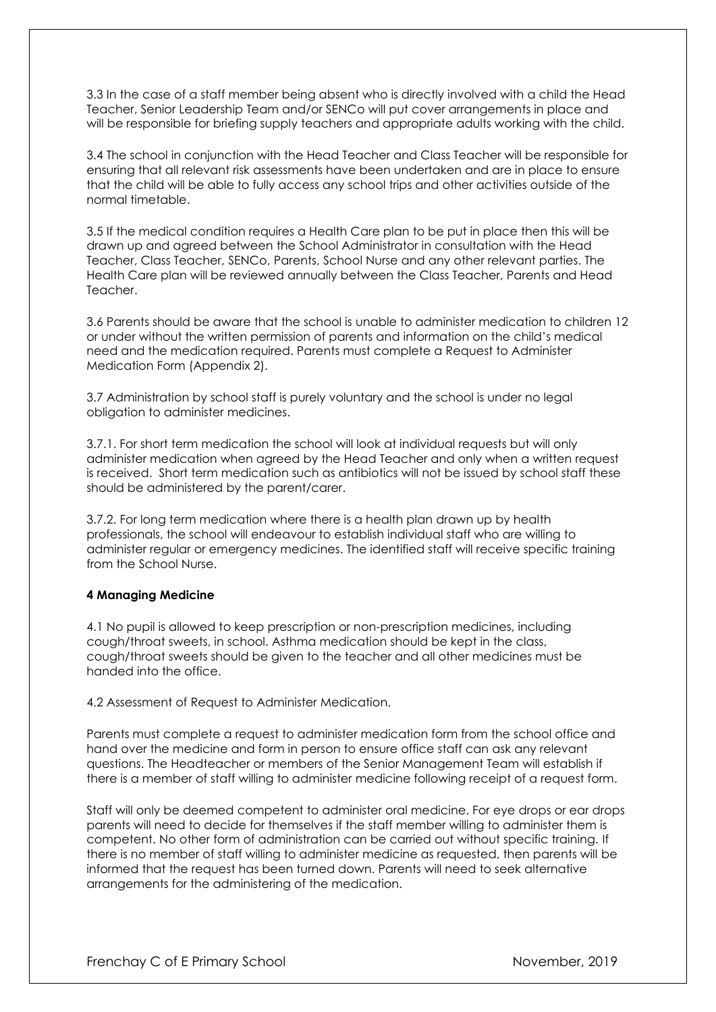3.3 In the case of a staff member being absent who is directly involved with a child the Head Teacher, Senior Leadership Team and/or SENCo will put cover arrangements in place and will be responsible for briefing supply teachers and appropriate adults working with the child.

3.4 The school in conjunction with the Head Teacher and Class Teacher will be responsible for ensuring that all relevant risk assessments have been undertaken and are in place to ensure that the child will be able to fully access any school trips and other activities outside of the normal timetable.

3.5 If the medical condition requires a Health Care plan to be put in place then this will be drawn up and agreed between the School Administrator in consultation with the Head Teacher, Class Teacher, SENCo, Parents, School Nurse and any other relevant parties. The Health Care plan will be reviewed annually between the Class Teacher, Parents and Head Teacher.

3.6 Parents should be aware that the school is unable to administer medication to children 12 or under without the written permission of parents and information on the child's medical need and the medication required. Parents must complete a Request to Administer Medication Form (Appendix 2).

3.7 Administration by school staff is purely voluntary and the school is under no legal obligation to administer medicines.

3.7.1. For short term medication the school will look at individual requests but will only administer medication when agreed by the Head Teacher and only when a written request is received. Short term medication such as antibiotics will not be issued by school staff these should be administered by the parent/carer.

3.7.2. For long term medication where there is a health plan drawn up by health professionals, the school will endeavour to establish individual staff who are willing to administer regular or emergency medicines. The identified staff will receive specific training from the School Nurse.

## **4 Managing Medicine**

4.1 No pupil is allowed to keep prescription or non-prescription medicines, including cough/throat sweets, in school. Asthma medication should be kept in the class, cough/throat sweets should be given to the teacher and all other medicines must be handed into the office.

4.2 Assessment of Request to Administer Medication.

Parents must complete a request to administer medication form from the school office and hand over the medicine and form in person to ensure office staff can ask any relevant questions. The Headteacher or members of the Senior Management Team will establish if there is a member of staff willing to administer medicine following receipt of a request form.

Staff will only be deemed competent to administer oral medicine. For eye drops or ear drops parents will need to decide for themselves if the staff member willing to administer them is competent. No other form of administration can be carried out without specific training. If there is no member of staff willing to administer medicine as requested, then parents will be informed that the request has been turned down. Parents will need to seek alternative arrangements for the administering of the medication.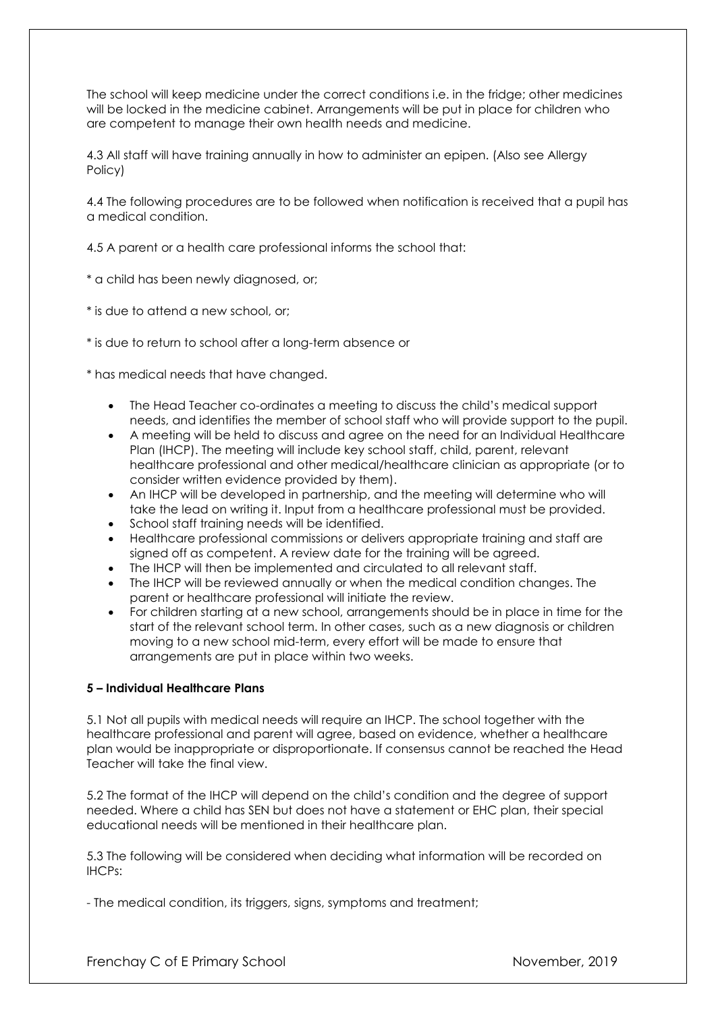The school will keep medicine under the correct conditions i.e. in the fridge; other medicines will be locked in the medicine cabinet. Arrangements will be put in place for children who are competent to manage their own health needs and medicine.

4.3 All staff will have training annually in how to administer an epipen. (Also see Allergy Policy)

4.4 The following procedures are to be followed when notification is received that a pupil has a medical condition.

4.5 A parent or a health care professional informs the school that:

\* a child has been newly diagnosed, or;

\* is due to attend a new school, or;

\* is due to return to school after a long-term absence or

\* has medical needs that have changed.

- The Head Teacher co-ordinates a meeting to discuss the child's medical support needs, and identifies the member of school staff who will provide support to the pupil.
- A meeting will be held to discuss and agree on the need for an Individual Healthcare Plan (IHCP). The meeting will include key school staff, child, parent, relevant healthcare professional and other medical/healthcare clinician as appropriate (or to consider written evidence provided by them).
- An IHCP will be developed in partnership, and the meeting will determine who will take the lead on writing it. Input from a healthcare professional must be provided.
- School staff training needs will be identified.
- Healthcare professional commissions or delivers appropriate training and staff are signed off as competent. A review date for the training will be agreed.
- The IHCP will then be implemented and circulated to all relevant staff.
- The IHCP will be reviewed annually or when the medical condition changes. The parent or healthcare professional will initiate the review.
- For children starting at a new school, arrangements should be in place in time for the start of the relevant school term. In other cases, such as a new diagnosis or children moving to a new school mid-term, every effort will be made to ensure that arrangements are put in place within two weeks.

## **5 – Individual Healthcare Plans**

5.1 Not all pupils with medical needs will require an IHCP. The school together with the healthcare professional and parent will agree, based on evidence, whether a healthcare plan would be inappropriate or disproportionate. If consensus cannot be reached the Head Teacher will take the final view.

5.2 The format of the IHCP will depend on the child's condition and the degree of support needed. Where a child has SEN but does not have a statement or EHC plan, their special educational needs will be mentioned in their healthcare plan.

5.3 The following will be considered when deciding what information will be recorded on IHCPs:

- The medical condition, its triggers, signs, symptoms and treatment;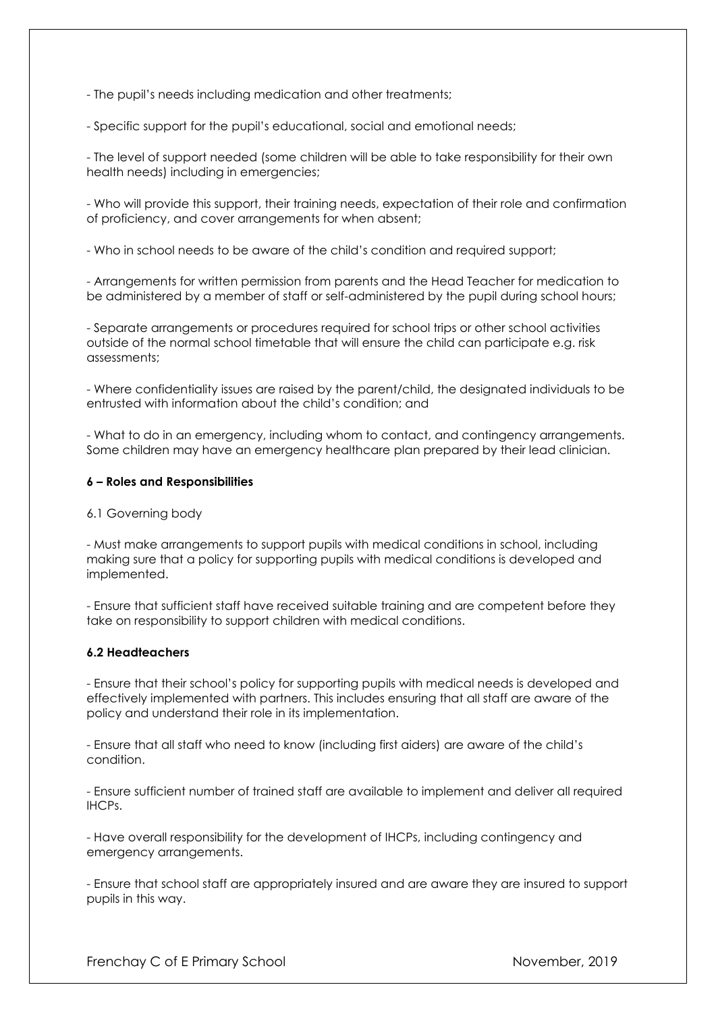- The pupil's needs including medication and other treatments;

- Specific support for the pupil's educational, social and emotional needs;

- The level of support needed (some children will be able to take responsibility for their own health needs) including in emergencies;

- Who will provide this support, their training needs, expectation of their role and confirmation of proficiency, and cover arrangements for when absent;

- Who in school needs to be aware of the child's condition and required support;

- Arrangements for written permission from parents and the Head Teacher for medication to be administered by a member of staff or self-administered by the pupil during school hours;

- Separate arrangements or procedures required for school trips or other school activities outside of the normal school timetable that will ensure the child can participate e.g. risk assessments;

- Where confidentiality issues are raised by the parent/child, the designated individuals to be entrusted with information about the child's condition; and

- What to do in an emergency, including whom to contact, and contingency arrangements. Some children may have an emergency healthcare plan prepared by their lead clinician.

#### **6 – Roles and Responsibilities**

6.1 Governing body

- Must make arrangements to support pupils with medical conditions in school, including making sure that a policy for supporting pupils with medical conditions is developed and implemented.

- Ensure that sufficient staff have received suitable training and are competent before they take on responsibility to support children with medical conditions.

#### **6.2 Headteachers**

- Ensure that their school's policy for supporting pupils with medical needs is developed and effectively implemented with partners. This includes ensuring that all staff are aware of the policy and understand their role in its implementation.

- Ensure that all staff who need to know (including first aiders) are aware of the child's condition.

- Ensure sufficient number of trained staff are available to implement and deliver all required IHCPs.

- Have overall responsibility for the development of IHCPs, including contingency and emergency arrangements.

- Ensure that school staff are appropriately insured and are aware they are insured to support pupils in this way.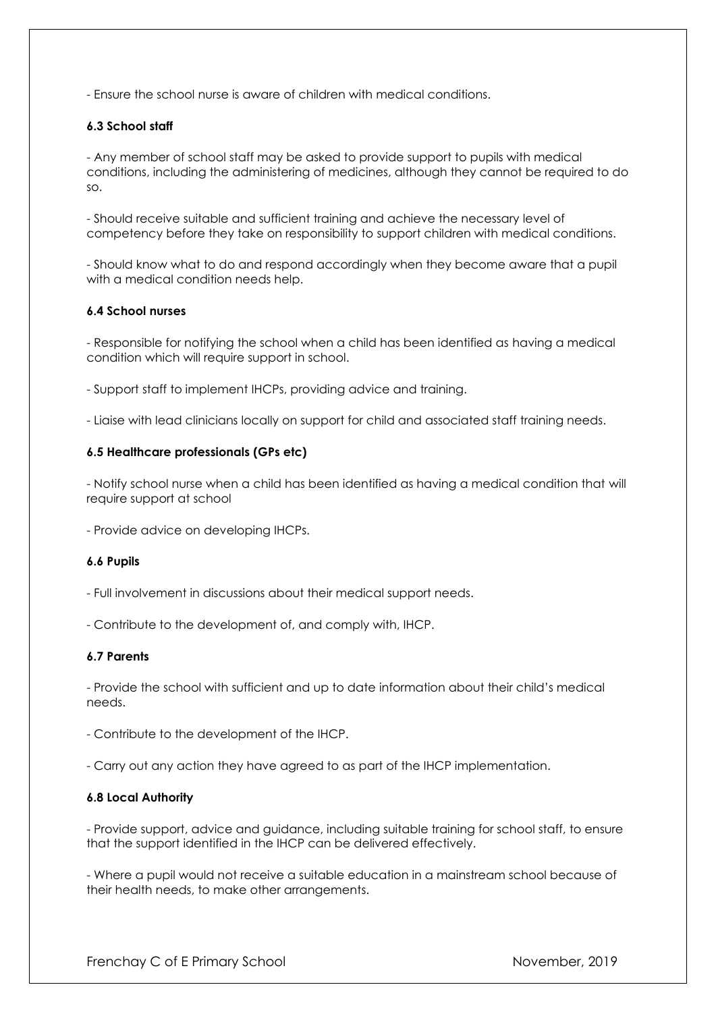- Ensure the school nurse is aware of children with medical conditions.

## **6.3 School staff**

- Any member of school staff may be asked to provide support to pupils with medical conditions, including the administering of medicines, although they cannot be required to do so.

- Should receive suitable and sufficient training and achieve the necessary level of competency before they take on responsibility to support children with medical conditions.

- Should know what to do and respond accordingly when they become aware that a pupil with a medical condition needs help.

## **6.4 School nurses**

- Responsible for notifying the school when a child has been identified as having a medical condition which will require support in school.

- Support staff to implement IHCPs, providing advice and training.

- Liaise with lead clinicians locally on support for child and associated staff training needs.

#### **6.5 Healthcare professionals (GPs etc)**

- Notify school nurse when a child has been identified as having a medical condition that will require support at school

- Provide advice on developing IHCPs.

#### **6.6 Pupils**

- Full involvement in discussions about their medical support needs.

- Contribute to the development of, and comply with, IHCP.

## **6.7 Parents**

- Provide the school with sufficient and up to date information about their child's medical needs.

- Contribute to the development of the IHCP.

- Carry out any action they have agreed to as part of the IHCP implementation.

## **6.8 Local Authority**

- Provide support, advice and guidance, including suitable training for school staff, to ensure that the support identified in the IHCP can be delivered effectively.

- Where a pupil would not receive a suitable education in a mainstream school because of their health needs, to make other arrangements.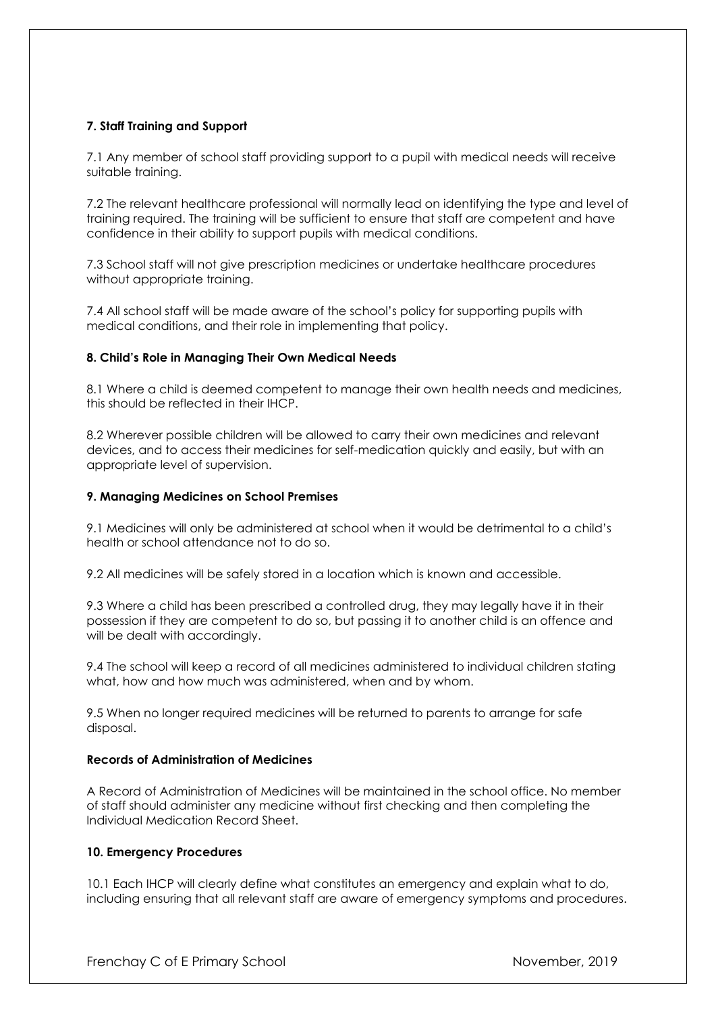# **7. Staff Training and Support**

7.1 Any member of school staff providing support to a pupil with medical needs will receive suitable training.

7.2 The relevant healthcare professional will normally lead on identifying the type and level of training required. The training will be sufficient to ensure that staff are competent and have confidence in their ability to support pupils with medical conditions.

7.3 School staff will not give prescription medicines or undertake healthcare procedures without appropriate training.

7.4 All school staff will be made aware of the school's policy for supporting pupils with medical conditions, and their role in implementing that policy.

## **8. Child's Role in Managing Their Own Medical Needs**

8.1 Where a child is deemed competent to manage their own health needs and medicines, this should be reflected in their IHCP.

8.2 Wherever possible children will be allowed to carry their own medicines and relevant devices, and to access their medicines for self-medication quickly and easily, but with an appropriate level of supervision.

#### **9. Managing Medicines on School Premises**

9.1 Medicines will only be administered at school when it would be detrimental to a child's health or school attendance not to do so.

9.2 All medicines will be safely stored in a location which is known and accessible.

9.3 Where a child has been prescribed a controlled drug, they may legally have it in their possession if they are competent to do so, but passing it to another child is an offence and will be dealt with accordingly.

9.4 The school will keep a record of all medicines administered to individual children stating what, how and how much was administered, when and by whom.

9.5 When no longer required medicines will be returned to parents to arrange for safe disposal.

#### **Records of Administration of Medicines**

A Record of Administration of Medicines will be maintained in the school office. No member of staff should administer any medicine without first checking and then completing the Individual Medication Record Sheet.

## **10. Emergency Procedures**

10.1 Each IHCP will clearly define what constitutes an emergency and explain what to do, including ensuring that all relevant staff are aware of emergency symptoms and procedures.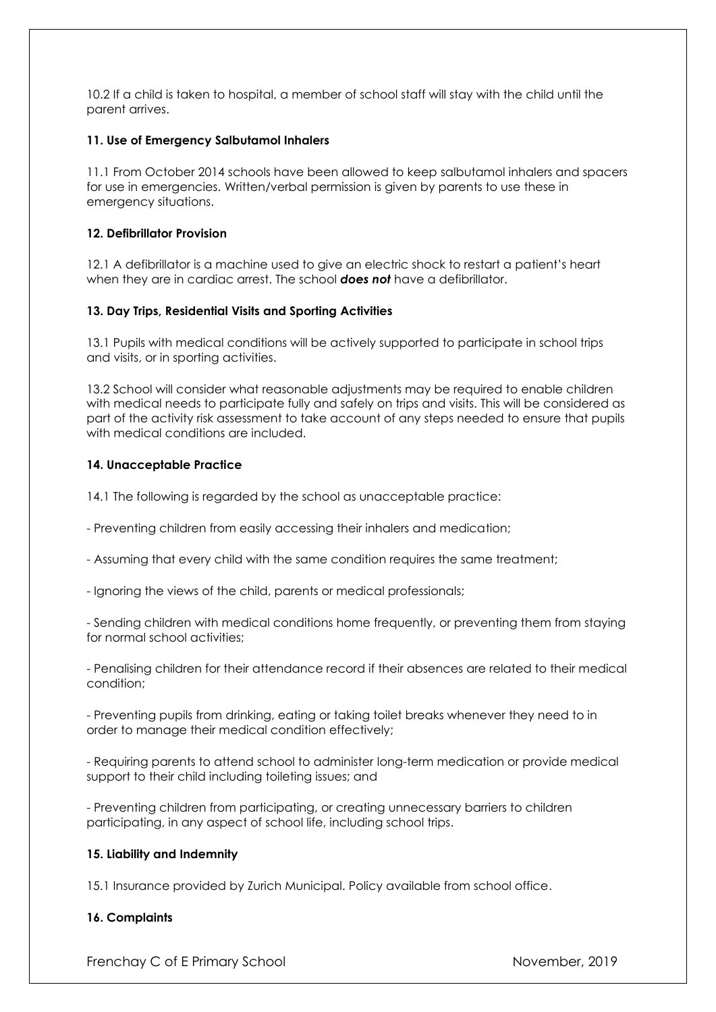10.2 If a child is taken to hospital, a member of school staff will stay with the child until the parent arrives.

# **11. Use of Emergency Salbutamol Inhalers**

11.1 From October 2014 schools have been allowed to keep salbutamol inhalers and spacers for use in emergencies. Written/verbal permission is given by parents to use these in emergency situations.

## **12. Defibrillator Provision**

12.1 A defibrillator is a machine used to give an electric shock to restart a patient's heart when they are in cardiac arrest. The school *does not* have a defibrillator.

# **13. Day Trips, Residential Visits and Sporting Activities**

13.1 Pupils with medical conditions will be actively supported to participate in school trips and visits, or in sporting activities.

13.2 School will consider what reasonable adjustments may be required to enable children with medical needs to participate fully and safely on trips and visits. This will be considered as part of the activity risk assessment to take account of any steps needed to ensure that pupils with medical conditions are included.

# **14. Unacceptable Practice**

14.1 The following is regarded by the school as unacceptable practice:

- Preventing children from easily accessing their inhalers and medication;
- Assuming that every child with the same condition requires the same treatment;
- Ignoring the views of the child, parents or medical professionals;

- Sending children with medical conditions home frequently, or preventing them from staying for normal school activities;

- Penalising children for their attendance record if their absences are related to their medical condition;

- Preventing pupils from drinking, eating or taking toilet breaks whenever they need to in order to manage their medical condition effectively;

- Requiring parents to attend school to administer long-term medication or provide medical support to their child including toileting issues; and

- Preventing children from participating, or creating unnecessary barriers to children participating, in any aspect of school life, including school trips.

## **15. Liability and Indemnity**

15.1 Insurance provided by Zurich Municipal. Policy available from school office.

# **16. Complaints**

Frenchay C of E Primary School November, 2019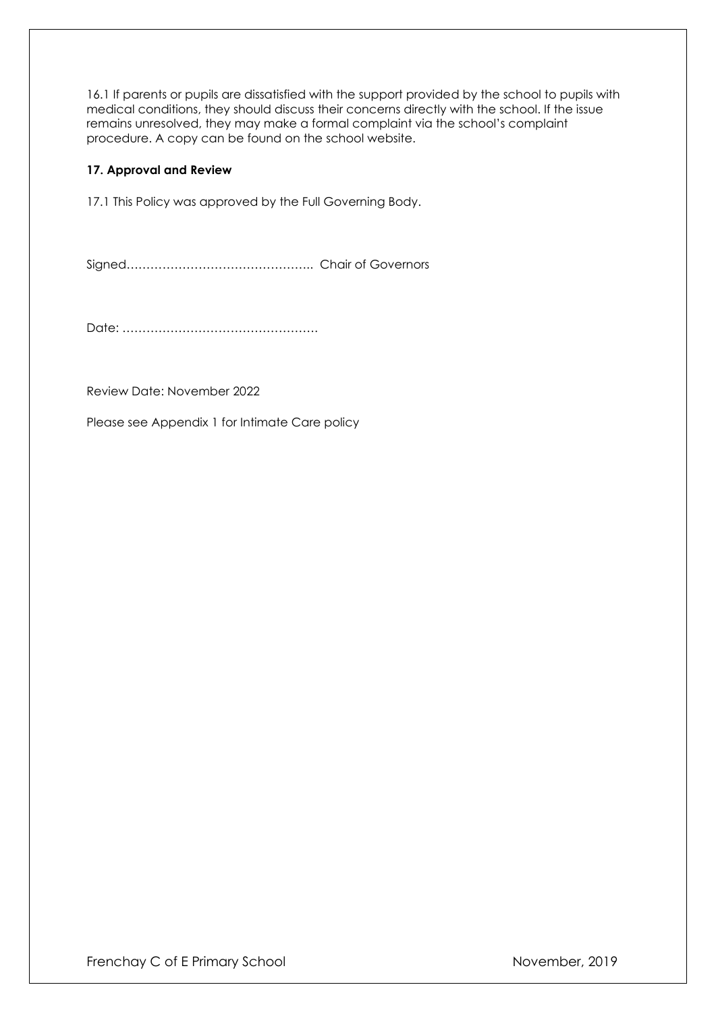16.1 If parents or pupils are dissatisfied with the support provided by the school to pupils with medical conditions, they should discuss their concerns directly with the school. If the issue remains unresolved, they may make a formal complaint via the school's complaint procedure. A copy can be found on the school website.

# **17. Approval and Review**

17.1 This Policy was approved by the Full Governing Body.

Signed……………………………………….. Chair of Governors

Date: ………………………………………….

Review Date: November 2022

Please see Appendix 1 for Intimate Care policy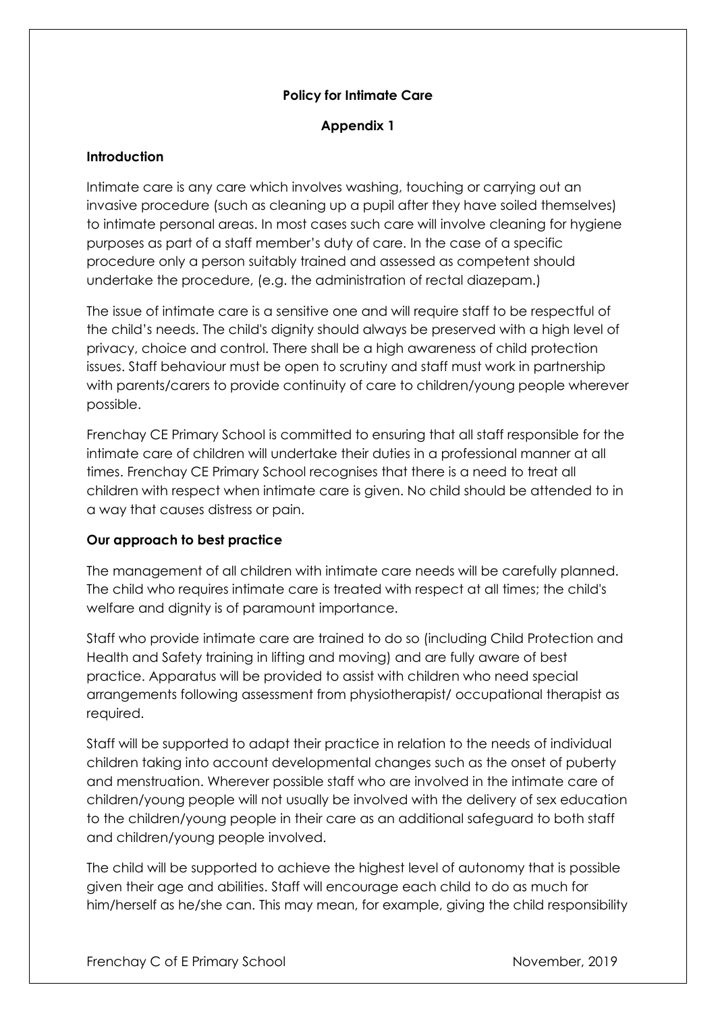# **Policy for Intimate Care**

# **Appendix 1**

# **Introduction**

Intimate care is any care which involves washing, touching or carrying out an invasive procedure (such as cleaning up a pupil after they have soiled themselves) to intimate personal areas. In most cases such care will involve cleaning for hygiene purposes as part of a staff member's duty of care. In the case of a specific procedure only a person suitably trained and assessed as competent should undertake the procedure, (e.g. the administration of rectal diazepam.)

The issue of intimate care is a sensitive one and will require staff to be respectful of the child's needs. The child's dignity should always be preserved with a high level of privacy, choice and control. There shall be a high awareness of child protection issues. Staff behaviour must be open to scrutiny and staff must work in partnership with parents/carers to provide continuity of care to children/young people wherever possible.

Frenchay CE Primary School is committed to ensuring that all staff responsible for the intimate care of children will undertake their duties in a professional manner at all times. Frenchay CE Primary School recognises that there is a need to treat all children with respect when intimate care is given. No child should be attended to in a way that causes distress or pain.

# **Our approach to best practice**

The management of all children with intimate care needs will be carefully planned. The child who requires intimate care is treated with respect at all times; the child's welfare and dignity is of paramount importance.

Staff who provide intimate care are trained to do so (including Child Protection and Health and Safety training in lifting and moving) and are fully aware of best practice. Apparatus will be provided to assist with children who need special arrangements following assessment from physiotherapist/ occupational therapist as required.

Staff will be supported to adapt their practice in relation to the needs of individual children taking into account developmental changes such as the onset of puberty and menstruation. Wherever possible staff who are involved in the intimate care of children/young people will not usually be involved with the delivery of sex education to the children/young people in their care as an additional safeguard to both staff and children/young people involved.

The child will be supported to achieve the highest level of autonomy that is possible given their age and abilities. Staff will encourage each child to do as much for him/herself as he/she can. This may mean, for example, giving the child responsibility